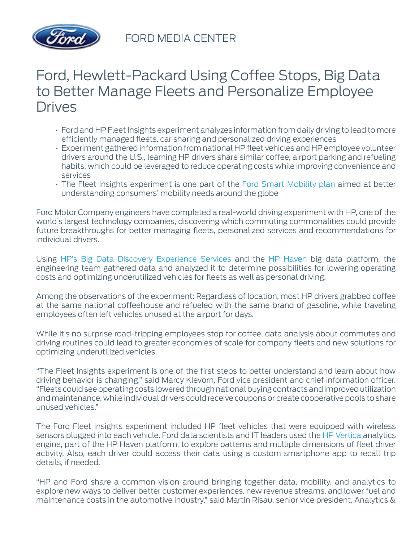

## Ford, Hewlett-Packard Using Coffee Stops, Big Data to Better Manage Fleets and Personalize Employee **Drives**

- Ford and HP Fleet Insights experiment analyzes information from daily driving to lead to more efficiently managed fleets, car sharing and personalized driving experiences
- Experiment gathered information from national HP fleet vehicles and HP employee volunteer drivers around the U.S., learning HP drivers share similar coffee, airport parking and refueling habits, which could be leveraged to reduce operating costs while improving convenience and services
- The Fleet Insights experiment is one part of the [Ford Smart Mobility plan](https://media.ford.com/content/fordmedia/fna/us/en/news/2015/01/06/ford-at-ces-announces-smart-mobility-plan.html) aimed at better understanding consumers' mobility needs around the globe

Ford Motor Company engineers have completed a real-world driving experiment with HP, one of the world's largest technology companies, discovering which commuting commonalities could provide future breakthroughs for better managing fleets, personalized services and recommendations for individual drivers.

Using [HP's Big Data Discovery Experience Services](http://www8.hp.com/us/en/business-services/it-services.html?compURI=1174433#.VYSg701FCuE) and the [HP Haven](http://www8.hp.com/us/en/software-solutions/big-data-platform-haven/index.html) big data platform, the engineering team gathered data and analyzed it to determine possibilities for lowering operating costs and optimizing underutilized vehicles for fleets as well as personal driving.

Among the observations of the experiment: Regardless of location, most HP drivers grabbed coffee at the same national coffeehouse and refueled with the same brand of gasoline, while traveling employees often left vehicles unused at the airport for days.

While it's no surprise road-tripping employees stop for coffee, data analysis about commutes and driving routines could lead to greater economies of scale for company fleets and new solutions for optimizing underutilized vehicles.

"The Fleet Insights experiment is one of the first steps to better understand and learn about how driving behavior is changing," said Marcy Klevorn, Ford vice president and chief information officer. "Fleets could see operating costs lowered through national buying contracts and improved utilization and maintenance, while individual drivers could receive coupons or create cooperative pools to share unused vehicles."

The Ford Fleet Insights experiment included HP fleet vehicles that were equipped with wireless sensors plugged into each vehicle. Ford data scientists and IT leaders used the [HP Vertica](http://www8.hp.com/us/en/software-solutions/advanced-sql-big-data-analytics/index.html) analytics engine, part of the HP Haven platform, to explore patterns and multiple dimensions of fleet driver activity. Also, each driver could access their data using a custom smartphone app to recall trip details, if needed.

"HP and Ford share a common vision around bringing together data, mobility, and analytics to explore new ways to deliver better customer experiences, new revenue streams, and lower fuel and maintenance costs in the automotive industry," said Martin Risau, senior vice president, Analytics &